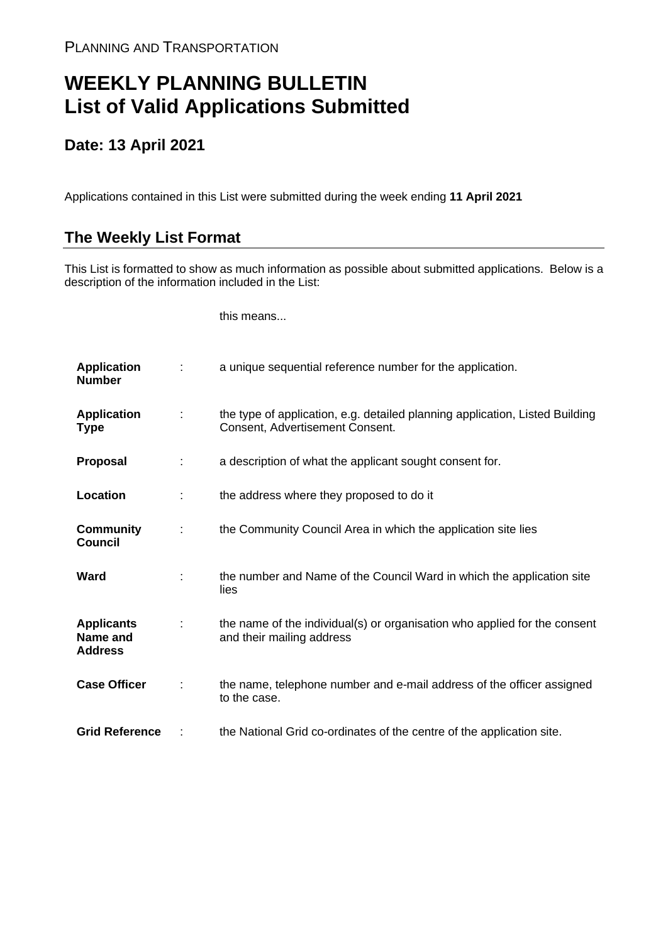## **WEEKLY PLANNING BULLETIN List of Valid Applications Submitted**

## **Date: 13 April 2021**

Applications contained in this List were submitted during the week ending **11 April 2021**

## **The Weekly List Format**

This List is formatted to show as much information as possible about submitted applications. Below is a description of the information included in the List:

this means...

| <b>Application</b><br><b>Number</b>             |   | a unique sequential reference number for the application.                                                       |
|-------------------------------------------------|---|-----------------------------------------------------------------------------------------------------------------|
| <b>Application</b><br><b>Type</b>               |   | the type of application, e.g. detailed planning application, Listed Building<br>Consent, Advertisement Consent. |
| <b>Proposal</b>                                 |   | a description of what the applicant sought consent for.                                                         |
| Location                                        |   | the address where they proposed to do it                                                                        |
| <b>Community</b><br><b>Council</b>              | ÷ | the Community Council Area in which the application site lies                                                   |
| Ward                                            |   | the number and Name of the Council Ward in which the application site<br>lies                                   |
| <b>Applicants</b><br>Name and<br><b>Address</b> |   | the name of the individual(s) or organisation who applied for the consent<br>and their mailing address          |
| <b>Case Officer</b>                             |   | the name, telephone number and e-mail address of the officer assigned<br>to the case.                           |
| <b>Grid Reference</b>                           |   | the National Grid co-ordinates of the centre of the application site.                                           |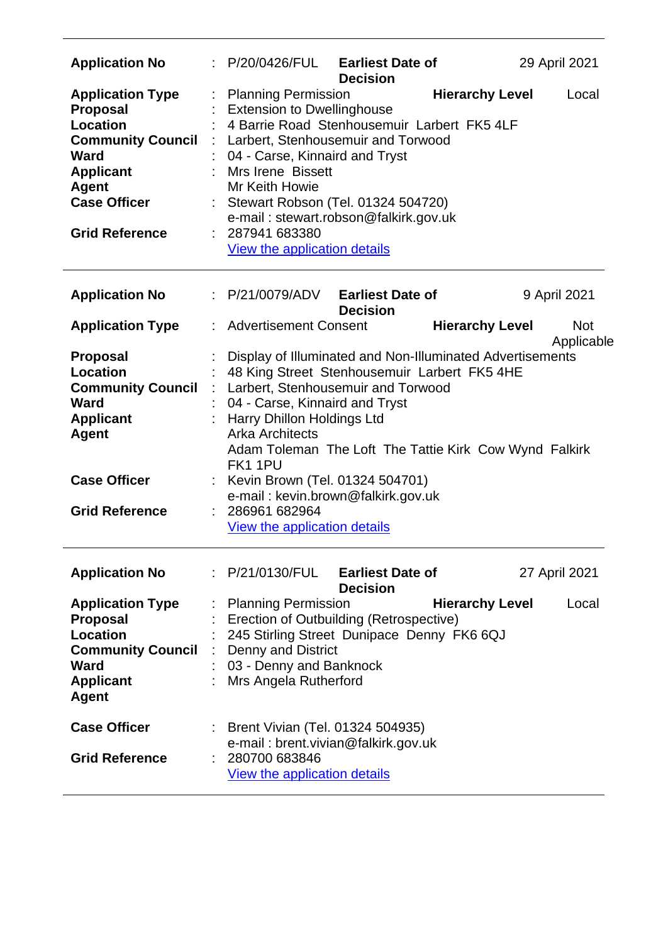| <b>Application No</b>                                                                                                                                                                        | : P/20/0426/FUL<br><b>Earliest Date of</b><br><b>Decision</b>                                                                                                                                                                                                                                                                                                                                                                                            | 29 April 2021            |
|----------------------------------------------------------------------------------------------------------------------------------------------------------------------------------------------|----------------------------------------------------------------------------------------------------------------------------------------------------------------------------------------------------------------------------------------------------------------------------------------------------------------------------------------------------------------------------------------------------------------------------------------------------------|--------------------------|
| <b>Application Type</b><br><b>Proposal</b><br><b>Location</b><br><b>Community Council</b><br><b>Ward</b><br><b>Applicant</b><br><b>Agent</b><br><b>Case Officer</b><br><b>Grid Reference</b> | <b>Hierarchy Level</b><br><b>Planning Permission</b><br><b>Extension to Dwellinghouse</b><br>4 Barrie Road Stenhousemuir Larbert FK5 4LF<br>: Larbert, Stenhousemuir and Torwood<br>04 - Carse, Kinnaird and Tryst<br>Mrs Irene Bissett<br>Mr Keith Howie<br>: Stewart Robson (Tel. 01324 504720)<br>e-mail: stewart.robson@falkirk.gov.uk<br>287941 683380<br><b>View the application details</b>                                                       | Local                    |
| <b>Application No</b>                                                                                                                                                                        | : P/21/0079/ADV<br><b>Earliest Date of</b><br><b>Decision</b>                                                                                                                                                                                                                                                                                                                                                                                            | 9 April 2021             |
| <b>Application Type</b>                                                                                                                                                                      | <b>Advertisement Consent</b><br><b>Hierarchy Level</b>                                                                                                                                                                                                                                                                                                                                                                                                   | <b>Not</b><br>Applicable |
| <b>Proposal</b><br><b>Location</b><br><b>Community Council</b><br><b>Ward</b><br><b>Applicant</b><br><b>Agent</b><br><b>Case Officer</b><br><b>Grid Reference</b>                            | Display of Illuminated and Non-Illuminated Advertisements<br>48 King Street Stenhousemuir Larbert FK5 4HE<br>Larbert, Stenhousemuir and Torwood<br>04 - Carse, Kinnaird and Tryst<br><b>Harry Dhillon Holdings Ltd</b><br><b>Arka Architects</b><br>Adam Toleman The Loft The Tattie Kirk Cow Wynd Falkirk<br>FK1 1PU<br>Kevin Brown (Tel. 01324 504701)<br>e-mail: kevin.brown@falkirk.gov.uk<br>: 286961 682964<br><b>View the application details</b> |                          |
| <b>Application No</b>                                                                                                                                                                        | : P/21/0130/FUL Earliest Date of<br><b>Decision</b>                                                                                                                                                                                                                                                                                                                                                                                                      | 27 April 2021            |
| <b>Application Type</b><br><b>Proposal</b><br>Location<br><b>Community Council</b><br><b>Ward</b><br><b>Applicant</b><br><b>Agent</b>                                                        | <b>Hierarchy Level</b><br><b>Planning Permission</b><br>: Erection of Outbuilding (Retrospective)<br>245 Stirling Street Dunipace Denny FK6 6QJ<br><b>Denny and District</b><br>03 - Denny and Banknock<br>: Mrs Angela Rutherford                                                                                                                                                                                                                       | Local                    |
| <b>Case Officer</b><br><b>Grid Reference</b>                                                                                                                                                 | : Brent Vivian (Tel. 01324 504935)<br>e-mail: brent.vivian@falkirk.gov.uk<br>280700 683846<br>View the application details                                                                                                                                                                                                                                                                                                                               |                          |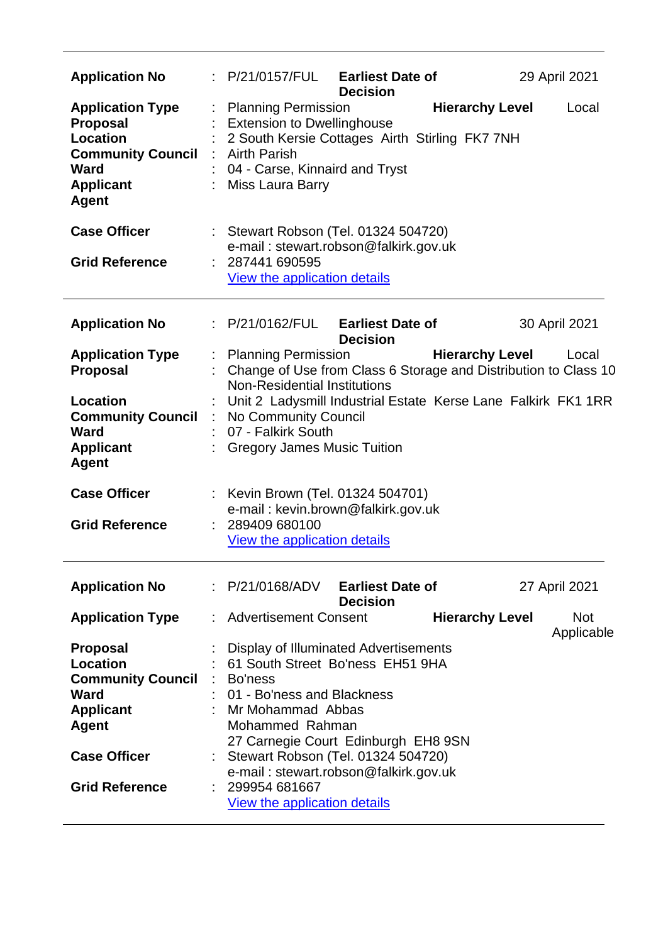| <b>Application No</b>                                                                                                                  | : P/21/0157/FUL                                                                 | <b>Earliest Date of</b>                                                                                                                                                                                                       | 29 April 2021                                      |  |  |  |
|----------------------------------------------------------------------------------------------------------------------------------------|---------------------------------------------------------------------------------|-------------------------------------------------------------------------------------------------------------------------------------------------------------------------------------------------------------------------------|----------------------------------------------------|--|--|--|
| <b>Application Type</b><br><b>Proposal</b><br>Location<br><b>Community Council : Airth Parish</b><br>Ward<br><b>Applicant</b><br>Agent |                                                                                 | <b>Decision</b><br><b>Hierarchy Level</b><br><b>Planning Permission</b><br>Local<br><b>Extension to Dwellinghouse</b><br>2 South Kersie Cottages Airth Stirling FK7 7NH<br>04 - Carse, Kinnaird and Tryst<br>Miss Laura Barry |                                                    |  |  |  |
| <b>Case Officer</b><br><b>Grid Reference</b>                                                                                           | : 287441 690595<br>View the application details                                 | : Stewart Robson (Tel. 01324 504720)<br>e-mail: stewart.robson@falkirk.gov.uk                                                                                                                                                 |                                                    |  |  |  |
| <b>Application No</b>                                                                                                                  | : P/21/0162/FUL                                                                 | <b>Earliest Date of</b><br><b>Decision</b>                                                                                                                                                                                    | 30 April 2021                                      |  |  |  |
| <b>Application Type</b><br><b>Proposal</b>                                                                                             | <b>Planning Permission</b><br><b>Non-Residential Institutions</b>               | Change of Use from Class 6 Storage and Distribution to Class 10                                                                                                                                                               | <b>Hierarchy Level</b><br>Local                    |  |  |  |
| <b>Location</b><br><b>Community Council : No Community Council</b><br>Ward<br><b>Applicant</b><br><b>Agent</b>                         | 07 - Falkirk South<br><b>Gregory James Music Tuition</b>                        | Unit 2 Ladysmill Industrial Estate Kerse Lane Falkirk FK1 1RR                                                                                                                                                                 |                                                    |  |  |  |
| <b>Case Officer</b><br><b>Grid Reference</b>                                                                                           | : Kevin Brown (Tel. 01324 504701)<br>: 289409 680100                            | e-mail: kevin.brown@falkirk.gov.uk                                                                                                                                                                                            |                                                    |  |  |  |
|                                                                                                                                        | <b>View the application details</b>                                             |                                                                                                                                                                                                                               |                                                    |  |  |  |
| <b>Application No</b>                                                                                                                  | P/21/0168/ADV                                                                   | <b>Earliest Date of</b><br><b>Decision</b>                                                                                                                                                                                    | 27 April 2021                                      |  |  |  |
| <b>Application Type</b>                                                                                                                | <b>Advertisement Consent</b>                                                    |                                                                                                                                                                                                                               | <b>Hierarchy Level</b><br><b>Not</b><br>Applicable |  |  |  |
| <b>Proposal</b><br>Location<br><b>Community Council</b><br><b>Ward</b><br><b>Applicant</b><br><b>Agent</b><br><b>Case Officer</b>      | : Bo'ness<br>01 - Bo'ness and Blackness<br>Mr Mohammad Abbas<br>Mohammed Rahman | Display of Illuminated Advertisements<br>61 South Street Bo'ness EH51 9HA<br>27 Carnegie Court Edinburgh EH8 9SN<br>Stewart Robson (Tel. 01324 504720)                                                                        |                                                    |  |  |  |
| <b>Grid Reference</b>                                                                                                                  | 299954 681667                                                                   | e-mail: stewart.robson@falkirk.gov.uk<br>View the application details                                                                                                                                                         |                                                    |  |  |  |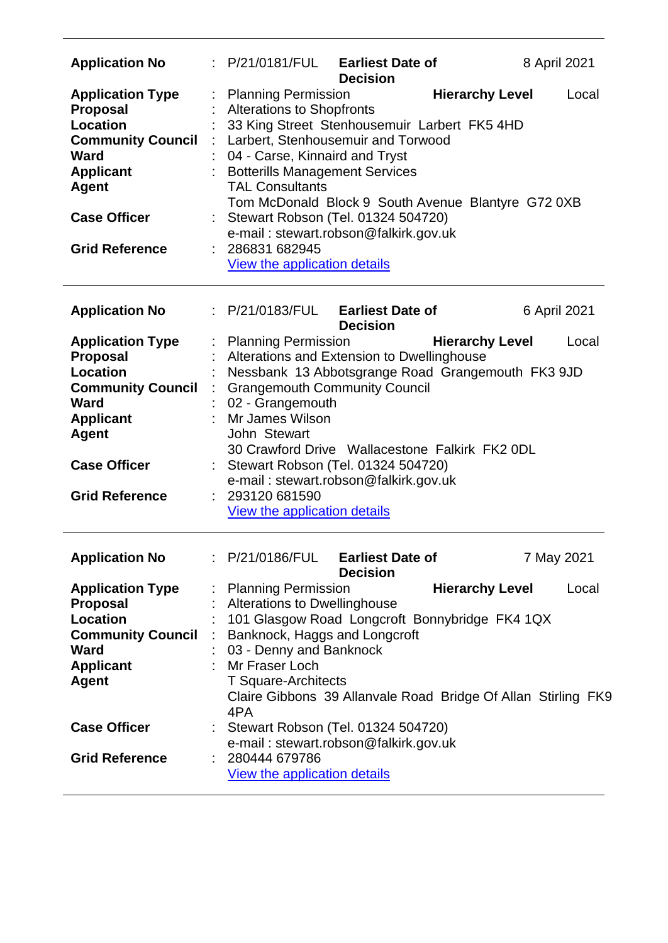| <b>Application No</b>                                                                                                                                                                        | : P/21/0181/FUL                                                                |                                                                                                | <b>Earliest Date of</b><br><b>Decision</b>                                                                                                                                                                                                                                                      |                        | 8 April 2021                                                           |
|----------------------------------------------------------------------------------------------------------------------------------------------------------------------------------------------|--------------------------------------------------------------------------------|------------------------------------------------------------------------------------------------|-------------------------------------------------------------------------------------------------------------------------------------------------------------------------------------------------------------------------------------------------------------------------------------------------|------------------------|------------------------------------------------------------------------|
| <b>Application Type</b><br><b>Proposal</b><br><b>Location</b><br><b>Community Council</b><br>Ward<br><b>Applicant</b><br>Agent<br><b>Case Officer</b><br><b>Grid Reference</b>               | <b>TAL Consultants</b><br>: 286831 682945                                      | <b>Planning Permission</b><br><b>Alterations to Shopfronts</b><br>View the application details | 33 King Street Stenhousemuir Larbert FK5 4HD<br>Larbert, Stenhousemuir and Torwood<br>04 - Carse, Kinnaird and Tryst<br>: Botterills Management Services<br>Tom McDonald Block 9 South Avenue Blantyre G72 0XB<br>: Stewart Robson (Tel. 01324 504720)<br>e-mail: stewart.robson@falkirk.gov.uk | <b>Hierarchy Level</b> | Local                                                                  |
| <b>Application No</b>                                                                                                                                                                        | P/21/0183/FUL                                                                  |                                                                                                | <b>Earliest Date of</b><br><b>Decision</b>                                                                                                                                                                                                                                                      |                        | 6 April 2021                                                           |
| <b>Application Type</b><br><b>Proposal</b><br><b>Location</b><br><b>Community Council</b><br><b>Ward</b><br><b>Applicant</b><br><b>Agent</b><br><b>Case Officer</b><br><b>Grid Reference</b> | <b>Planning Permission</b><br>Mr James Wilson<br>John Stewart<br>293120 681590 | 02 - Grangemouth<br>View the application details                                               | Alterations and Extension to Dwellinghouse<br>Nessbank 13 Abbotsgrange Road Grangemouth FK3 9JD<br><b>Grangemouth Community Council</b><br>30 Crawford Drive Wallacestone Falkirk FK2 0DL<br>: Stewart Robson (Tel. 01324 504720)<br>e-mail: stewart.robson@falkirk.gov.uk                      | <b>Hierarchy Level</b> | Local                                                                  |
| <b>Application No</b>                                                                                                                                                                        | : P/21/0186/FUL                                                                |                                                                                                | <b>Earliest Date of</b>                                                                                                                                                                                                                                                                         |                        | 7 May 2021                                                             |
| <b>Application Type</b><br><b>Proposal</b><br><b>Location</b><br><b>Community Council</b><br><b>Ward</b><br><b>Applicant</b><br><b>Agent</b>                                                 | <b>Planning Permission</b><br><b>COLL</b><br>Mr Fraser Loch<br>4PA             | 03 - Denny and Banknock<br><b>T Square-Architects</b>                                          | <b>Decision</b><br><b>Alterations to Dwellinghouse</b><br>101 Glasgow Road Longcroft Bonnybridge FK4 1QX<br>Banknock, Haggs and Longcroft                                                                                                                                                       | <b>Hierarchy Level</b> | Local<br>Claire Gibbons 39 Allanvale Road Bridge Of Allan Stirling FK9 |
| <b>Case Officer</b>                                                                                                                                                                          |                                                                                |                                                                                                | Stewart Robson (Tel. 01324 504720)<br>e-mail: stewart.robson@falkirk.gov.uk                                                                                                                                                                                                                     |                        |                                                                        |
| <b>Grid Reference</b>                                                                                                                                                                        | 280444 679786                                                                  | <b>View the application details</b>                                                            |                                                                                                                                                                                                                                                                                                 |                        |                                                                        |